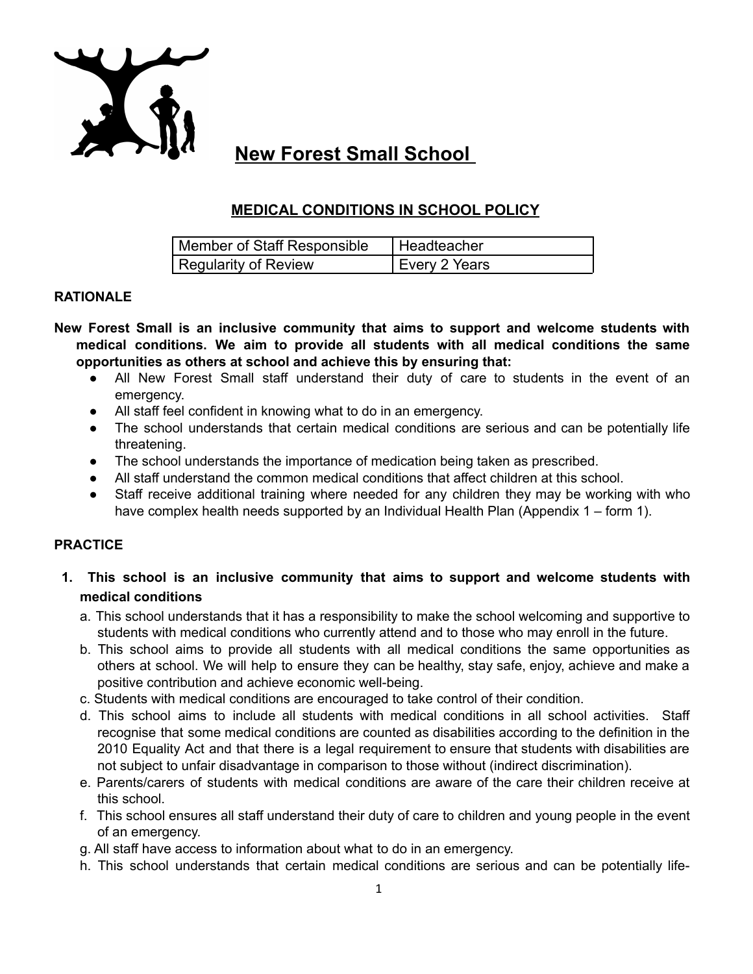

# **New Forest Small School**

# **MEDICAL CONDITIONS IN SCHOOL POLICY**

| Member of Staff Responsible | Headteacher   |
|-----------------------------|---------------|
| Regularity of Review        | Every 2 Years |

# **RATIONALE**

- **New Forest Small is an inclusive community that aims to support and welcome students with medical conditions. We aim to provide all students with all medical conditions the same opportunities as others at school and achieve this by ensuring that:**
	- All New Forest Small staff understand their duty of care to students in the event of an emergency.
	- All staff feel confident in knowing what to do in an emergency.
	- The school understands that certain medical conditions are serious and can be potentially life threatening.
	- The school understands the importance of medication being taken as prescribed.
	- All staff understand the common medical conditions that affect children at this school.
	- Staff receive additional training where needed for any children they may be working with who have complex health needs supported by an Individual Health Plan (Appendix 1 – form 1).

# **PRACTICE**

- **1. This school is an inclusive community that aims to support and welcome students with medical conditions**
	- a. This school understands that it has a responsibility to make the school welcoming and supportive to students with medical conditions who currently attend and to those who may enroll in the future.
	- b. This school aims to provide all students with all medical conditions the same opportunities as others at school. We will help to ensure they can be healthy, stay safe, enjoy, achieve and make a positive contribution and achieve economic well-being.
	- c. Students with medical conditions are encouraged to take control of their condition.
	- d. This school aims to include all students with medical conditions in all school activities. Staff recognise that some medical conditions are counted as disabilities according to the definition in the 2010 Equality Act and that there is a legal requirement to ensure that students with disabilities are not subject to unfair disadvantage in comparison to those without (indirect discrimination).
	- e. Parents/carers of students with medical conditions are aware of the care their children receive at this school.
	- f. This school ensures all staff understand their duty of care to children and young people in the event of an emergency.
	- g. All staff have access to information about what to do in an emergency.
	- h. This school understands that certain medical conditions are serious and can be potentially life-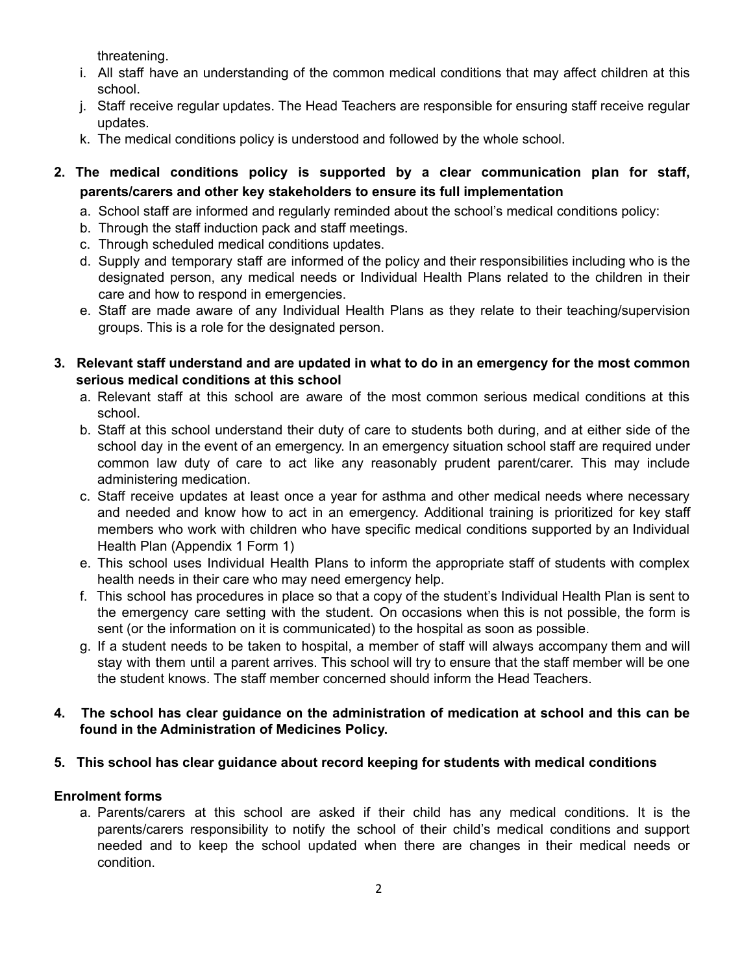threatening.

- i. All staff have an understanding of the common medical conditions that may affect children at this school.
- j. Staff receive regular updates. The Head Teachers are responsible for ensuring staff receive regular updates.
- k. The medical conditions policy is understood and followed by the whole school.
- **2. The medical conditions policy is supported by a clear communication plan for staff, parents/carers and other key stakeholders to ensure its full implementation**
	- a. School staff are informed and regularly reminded about the school's medical conditions policy:
	- b. Through the staff induction pack and staff meetings.
	- c. Through scheduled medical conditions updates.
	- d. Supply and temporary staff are informed of the policy and their responsibilities including who is the designated person, any medical needs or Individual Health Plans related to the children in their care and how to respond in emergencies.
	- e. Staff are made aware of any Individual Health Plans as they relate to their teaching/supervision groups. This is a role for the designated person.
- **3. Relevant staff understand and are updated in what to do in an emergency for the most common serious medical conditions at this school**
	- a. Relevant staff at this school are aware of the most common serious medical conditions at this school.
	- b. Staff at this school understand their duty of care to students both during, and at either side of the school day in the event of an emergency. In an emergency situation school staff are required under common law duty of care to act like any reasonably prudent parent/carer. This may include administering medication.
	- c. Staff receive updates at least once a year for asthma and other medical needs where necessary and needed and know how to act in an emergency. Additional training is prioritized for key staff members who work with children who have specific medical conditions supported by an Individual Health Plan (Appendix 1 Form 1)
	- e. This school uses Individual Health Plans to inform the appropriate staff of students with complex health needs in their care who may need emergency help.
	- f. This school has procedures in place so that a copy of the student's Individual Health Plan is sent to the emergency care setting with the student. On occasions when this is not possible, the form is sent (or the information on it is communicated) to the hospital as soon as possible.
	- g. If a student needs to be taken to hospital, a member of staff will always accompany them and will stay with them until a parent arrives. This school will try to ensure that the staff member will be one the student knows. The staff member concerned should inform the Head Teachers.

# **4. The school has clear guidance on the administration of medication at school and this can be found in the Administration of Medicines Policy.**

# **5. This school has clear guidance about record keeping for students with medical conditions**

# **Enrolment forms**

a. Parents/carers at this school are asked if their child has any medical conditions. It is the parents/carers responsibility to notify the school of their child's medical conditions and support needed and to keep the school updated when there are changes in their medical needs or condition.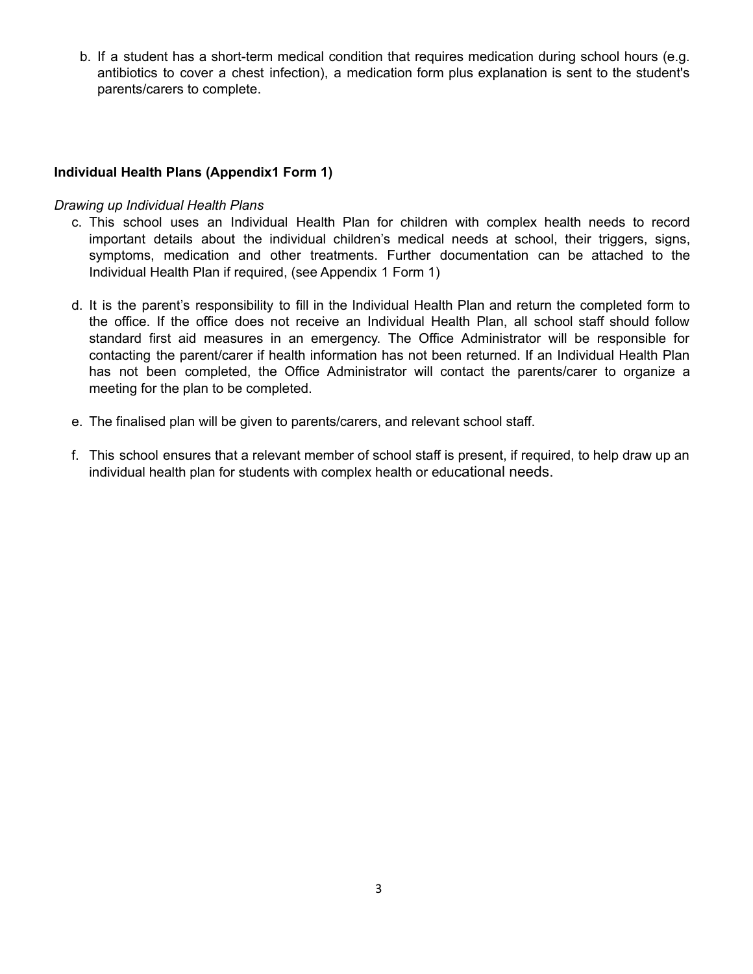b. If a student has a short-term medical condition that requires medication during school hours (e.g. antibiotics to cover a chest infection), a medication form plus explanation is sent to the student's parents/carers to complete.

# **Individual Health Plans (Appendix1 Form 1)**

#### *Drawing up Individual Health Plans*

- c. This school uses an Individual Health Plan for children with complex health needs to record important details about the individual children's medical needs at school, their triggers, signs, symptoms, medication and other treatments. Further documentation can be attached to the Individual Health Plan if required, (see Appendix 1 Form 1)
- d. It is the parent's responsibility to fill in the Individual Health Plan and return the completed form to the office. If the office does not receive an Individual Health Plan, all school staff should follow standard first aid measures in an emergency. The Office Administrator will be responsible for contacting the parent/carer if health information has not been returned. If an Individual Health Plan has not been completed, the Office Administrator will contact the parents/carer to organize a meeting for the plan to be completed.
- e. The finalised plan will be given to parents/carers, and relevant school staff.
- f. This school ensures that a relevant member of school staff is present, if required, to help draw up an individual health plan for students with complex health or educational needs.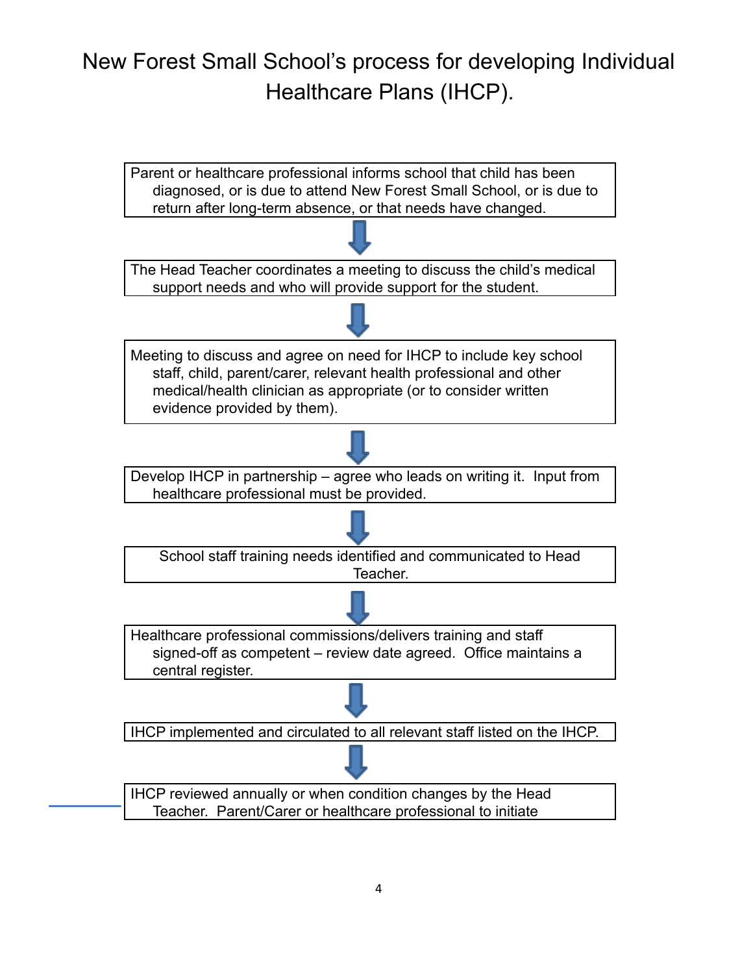# New Forest Small School's process for developing Individual Healthcare Plans (IHCP).

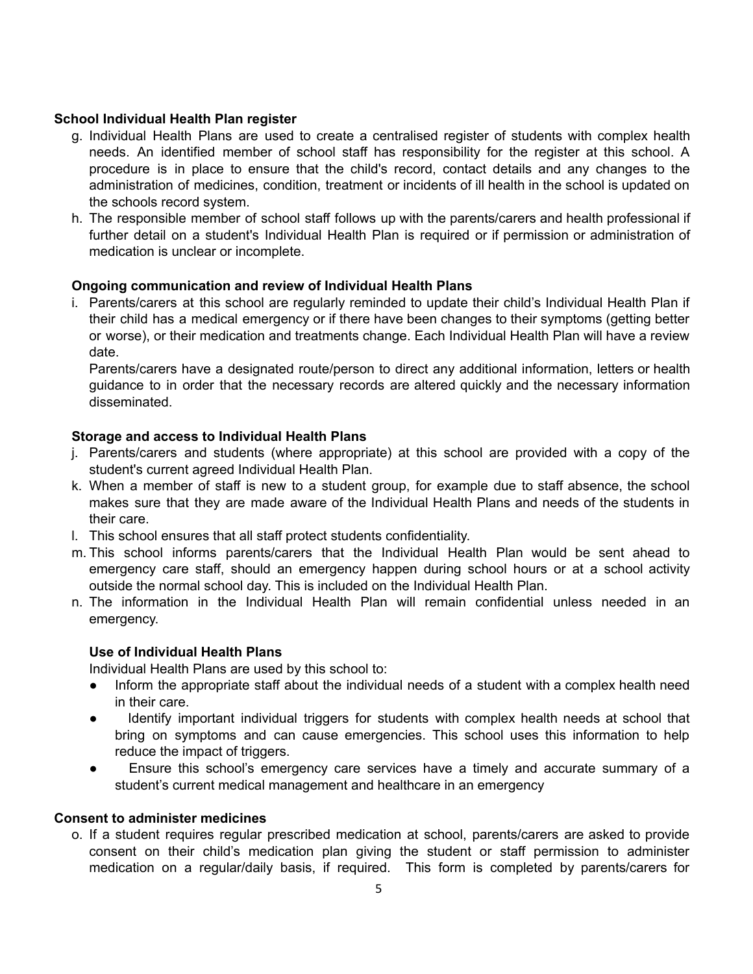# **School Individual Health Plan register**

- g. Individual Health Plans are used to create a centralised register of students with complex health needs. An identified member of school staff has responsibility for the register at this school. A procedure is in place to ensure that the child's record, contact details and any changes to the administration of medicines, condition, treatment or incidents of ill health in the school is updated on the schools record system.
- h. The responsible member of school staff follows up with the parents/carers and health professional if further detail on a student's Individual Health Plan is required or if permission or administration of medication is unclear or incomplete.

# **Ongoing communication and review of Individual Health Plans**

i. Parents/carers at this school are regularly reminded to update their child's Individual Health Plan if their child has a medical emergency or if there have been changes to their symptoms (getting better or worse), or their medication and treatments change. Each Individual Health Plan will have a review date.

Parents/carers have a designated route/person to direct any additional information, letters or health guidance to in order that the necessary records are altered quickly and the necessary information disseminated.

# **Storage and access to Individual Health Plans**

- j. Parents/carers and students (where appropriate) at this school are provided with a copy of the student's current agreed Individual Health Plan.
- k. When a member of staff is new to a student group, for example due to staff absence, the school makes sure that they are made aware of the Individual Health Plans and needs of the students in their care.
- l. This school ensures that all staff protect students confidentiality.
- m. This school informs parents/carers that the Individual Health Plan would be sent ahead to emergency care staff, should an emergency happen during school hours or at a school activity outside the normal school day. This is included on the Individual Health Plan.
- n. The information in the Individual Health Plan will remain confidential unless needed in an emergency.

# **Use of Individual Health Plans**

Individual Health Plans are used by this school to:

- Inform the appropriate staff about the individual needs of a student with a complex health need in their care.
- Identify important individual triggers for students with complex health needs at school that bring on symptoms and can cause emergencies. This school uses this information to help reduce the impact of triggers.
- Ensure this school's emergency care services have a timely and accurate summary of a student's current medical management and healthcare in an emergency

# **Consent to administer medicines**

o. If a student requires regular prescribed medication at school, parents/carers are asked to provide consent on their child's medication plan giving the student or staff permission to administer medication on a regular/daily basis, if required. This form is completed by parents/carers for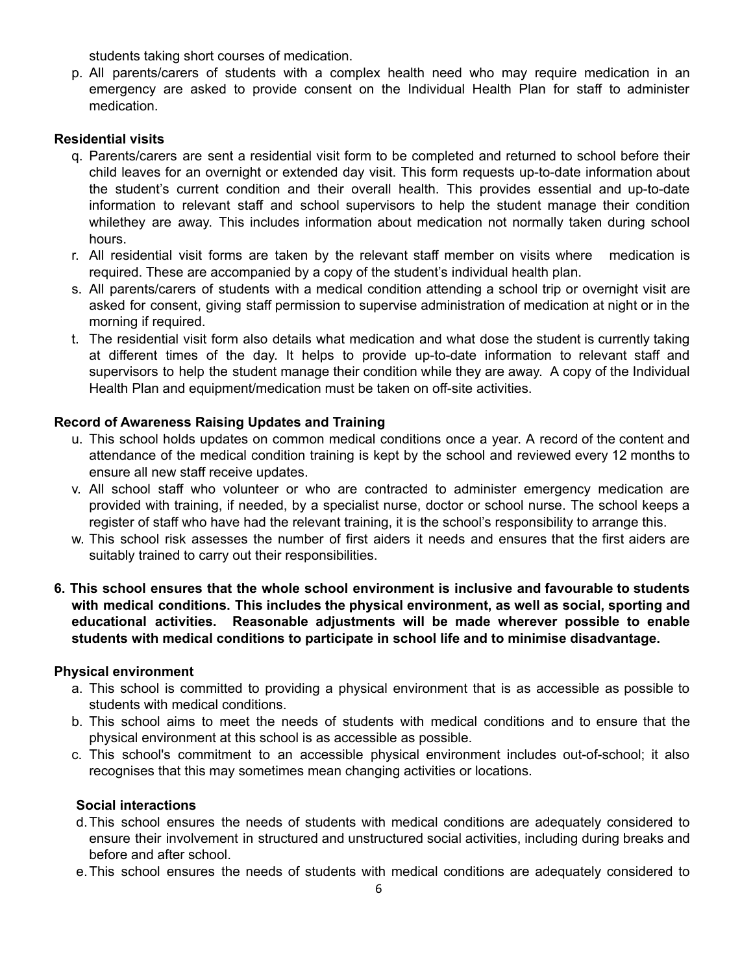students taking short courses of medication.

p. All parents/carers of students with a complex health need who may require medication in an emergency are asked to provide consent on the Individual Health Plan for staff to administer medication.

#### **Residential visits**

- q. Parents/carers are sent a residential visit form to be completed and returned to school before their child leaves for an overnight or extended day visit. This form requests up-to-date information about the student's current condition and their overall health. This provides essential and up-to-date information to relevant staff and school supervisors to help the student manage their condition whilethey are away. This includes information about medication not normally taken during school hours.
- r. All residential visit forms are taken by the relevant staff member on visits where medication is required. These are accompanied by a copy of the student's individual health plan.
- s. All parents/carers of students with a medical condition attending a school trip or overnight visit are asked for consent, giving staff permission to supervise administration of medication at night or in the morning if required.
- t. The residential visit form also details what medication and what dose the student is currently taking at different times of the day. It helps to provide up-to-date information to relevant staff and supervisors to help the student manage their condition while they are away. A copy of the Individual Health Plan and equipment/medication must be taken on off-site activities.

#### **Record of Awareness Raising Updates and Training**

- u. This school holds updates on common medical conditions once a year. A record of the content and attendance of the medical condition training is kept by the school and reviewed every 12 months to ensure all new staff receive updates.
- v. All school staff who volunteer or who are contracted to administer emergency medication are provided with training, if needed, by a specialist nurse, doctor or school nurse. The school keeps a register of staff who have had the relevant training, it is the school's responsibility to arrange this.
- w. This school risk assesses the number of first aiders it needs and ensures that the first aiders are suitably trained to carry out their responsibilities.
- **6. This school ensures that the whole school environment is inclusive and favourable to students with medical conditions. This includes the physical environment, as well as social, sporting and educational activities. Reasonable adjustments will be made wherever possible to enable students with medical conditions to participate in school life and to minimise disadvantage.**

#### **Physical environment**

- a. This school is committed to providing a physical environment that is as accessible as possible to students with medical conditions.
- b. This school aims to meet the needs of students with medical conditions and to ensure that the physical environment at this school is as accessible as possible.
- c. This school's commitment to an accessible physical environment includes out-of-school; it also recognises that this may sometimes mean changing activities or locations.

#### **Social interactions**

- d.This school ensures the needs of students with medical conditions are adequately considered to ensure their involvement in structured and unstructured social activities, including during breaks and before and after school.
- e.This school ensures the needs of students with medical conditions are adequately considered to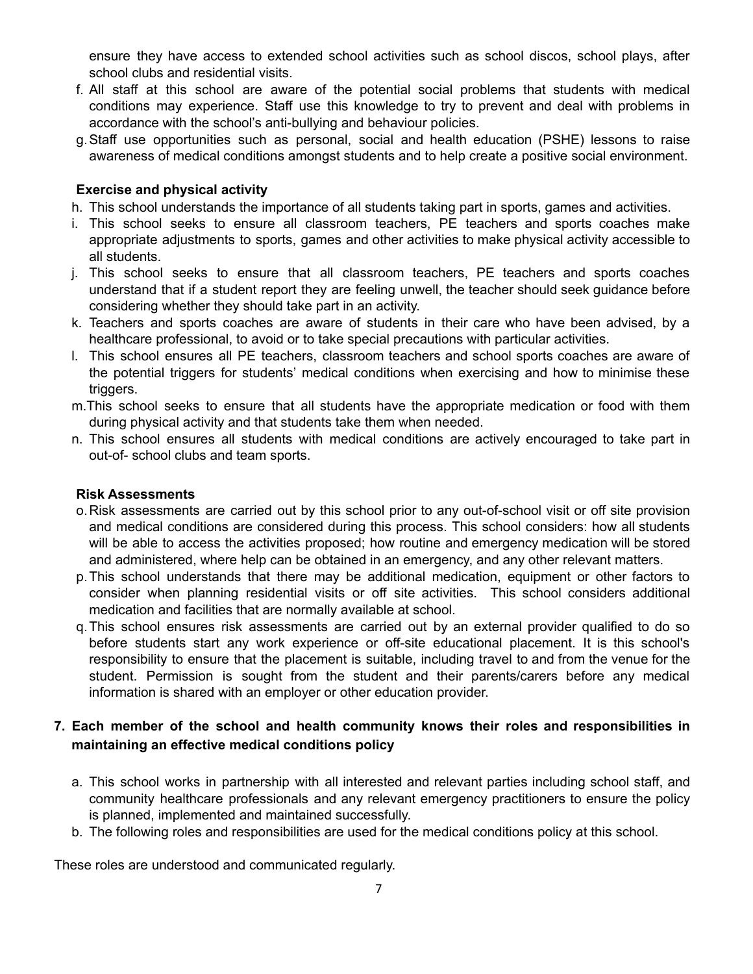ensure they have access to extended school activities such as school discos, school plays, after school clubs and residential visits.

- f. All staff at this school are aware of the potential social problems that students with medical conditions may experience. Staff use this knowledge to try to prevent and deal with problems in accordance with the school's anti-bullying and behaviour policies.
- g.Staff use opportunities such as personal, social and health education (PSHE) lessons to raise awareness of medical conditions amongst students and to help create a positive social environment.

# **Exercise and physical activity**

- h. This school understands the importance of all students taking part in sports, games and activities.
- i. This school seeks to ensure all classroom teachers, PE teachers and sports coaches make appropriate adjustments to sports, games and other activities to make physical activity accessible to all students.
- j. This school seeks to ensure that all classroom teachers, PE teachers and sports coaches understand that if a student report they are feeling unwell, the teacher should seek guidance before considering whether they should take part in an activity.
- k. Teachers and sports coaches are aware of students in their care who have been advised, by a healthcare professional, to avoid or to take special precautions with particular activities.
- l. This school ensures all PE teachers, classroom teachers and school sports coaches are aware of the potential triggers for students' medical conditions when exercising and how to minimise these triggers.
- m.This school seeks to ensure that all students have the appropriate medication or food with them during physical activity and that students take them when needed.
- n. This school ensures all students with medical conditions are actively encouraged to take part in out-of- school clubs and team sports.

#### **Risk Assessments**

- o.Risk assessments are carried out by this school prior to any out-of-school visit or off site provision and medical conditions are considered during this process. This school considers: how all students will be able to access the activities proposed; how routine and emergency medication will be stored and administered, where help can be obtained in an emergency, and any other relevant matters.
- p.This school understands that there may be additional medication, equipment or other factors to consider when planning residential visits or off site activities. This school considers additional medication and facilities that are normally available at school.
- q.This school ensures risk assessments are carried out by an external provider qualified to do so before students start any work experience or off-site educational placement. It is this school's responsibility to ensure that the placement is suitable, including travel to and from the venue for the student. Permission is sought from the student and their parents/carers before any medical information is shared with an employer or other education provider.

# **7. Each member of the school and health community knows their roles and responsibilities in maintaining an effective medical conditions policy**

- a. This school works in partnership with all interested and relevant parties including school staff, and community healthcare professionals and any relevant emergency practitioners to ensure the policy is planned, implemented and maintained successfully.
- b. The following roles and responsibilities are used for the medical conditions policy at this school.

These roles are understood and communicated regularly.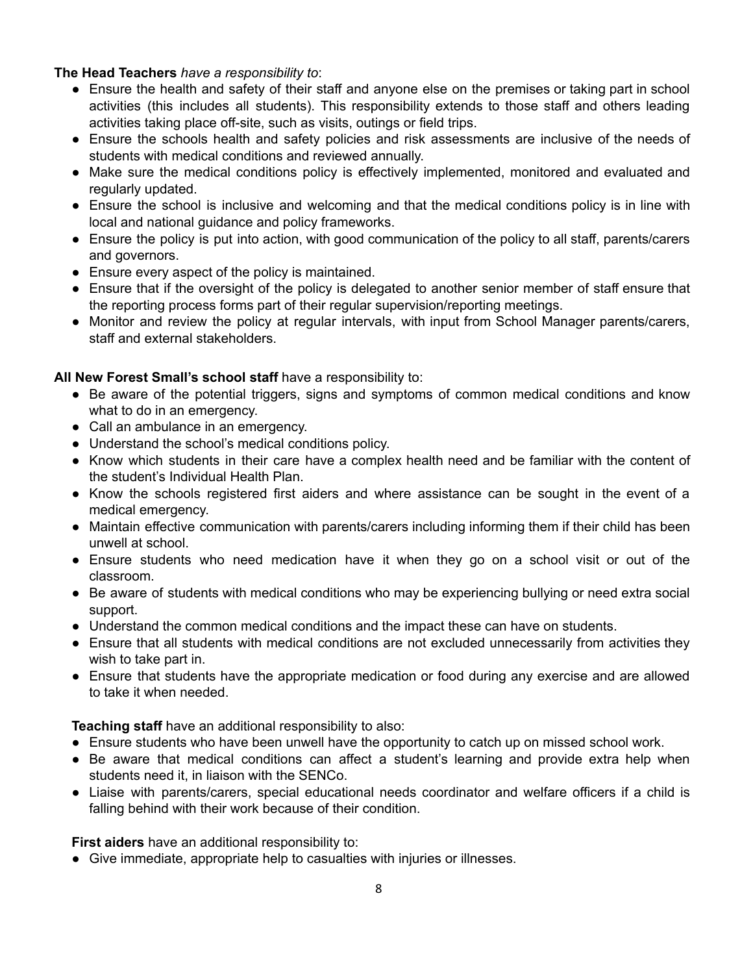#### **The Head Teachers** *have a responsibility to*:

- Ensure the health and safety of their staff and anyone else on the premises or taking part in school activities (this includes all students). This responsibility extends to those staff and others leading activities taking place off-site, such as visits, outings or field trips.
- Ensure the schools health and safety policies and risk assessments are inclusive of the needs of students with medical conditions and reviewed annually.
- Make sure the medical conditions policy is effectively implemented, monitored and evaluated and regularly updated.
- Ensure the school is inclusive and welcoming and that the medical conditions policy is in line with local and national guidance and policy frameworks.
- Ensure the policy is put into action, with good communication of the policy to all staff, parents/carers and governors.
- Ensure every aspect of the policy is maintained.
- Ensure that if the oversight of the policy is delegated to another senior member of staff ensure that the reporting process forms part of their regular supervision/reporting meetings.
- Monitor and review the policy at regular intervals, with input from School Manager parents/carers, staff and external stakeholders.

# **All New Forest Small's school staff** have a responsibility to:

- Be aware of the potential triggers, signs and symptoms of common medical conditions and know what to do in an emergency.
- Call an ambulance in an emergency.
- Understand the school's medical conditions policy.
- Know which students in their care have a complex health need and be familiar with the content of the student's Individual Health Plan.
- Know the schools registered first aiders and where assistance can be sought in the event of a medical emergency.
- Maintain effective communication with parents/carers including informing them if their child has been unwell at school.
- Ensure students who need medication have it when they go on a school visit or out of the classroom.
- Be aware of students with medical conditions who may be experiencing bullying or need extra social support.
- Understand the common medical conditions and the impact these can have on students.
- Ensure that all students with medical conditions are not excluded unnecessarily from activities they wish to take part in.
- Ensure that students have the appropriate medication or food during any exercise and are allowed to take it when needed.

**Teaching staff** have an additional responsibility to also:

- Ensure students who have been unwell have the opportunity to catch up on missed school work.
- Be aware that medical conditions can affect a student's learning and provide extra help when students need it, in liaison with the SENCo.
- Liaise with parents/carers, special educational needs coordinator and welfare officers if a child is falling behind with their work because of their condition.

**First aiders** have an additional responsibility to:

● Give immediate, appropriate help to casualties with injuries or illnesses.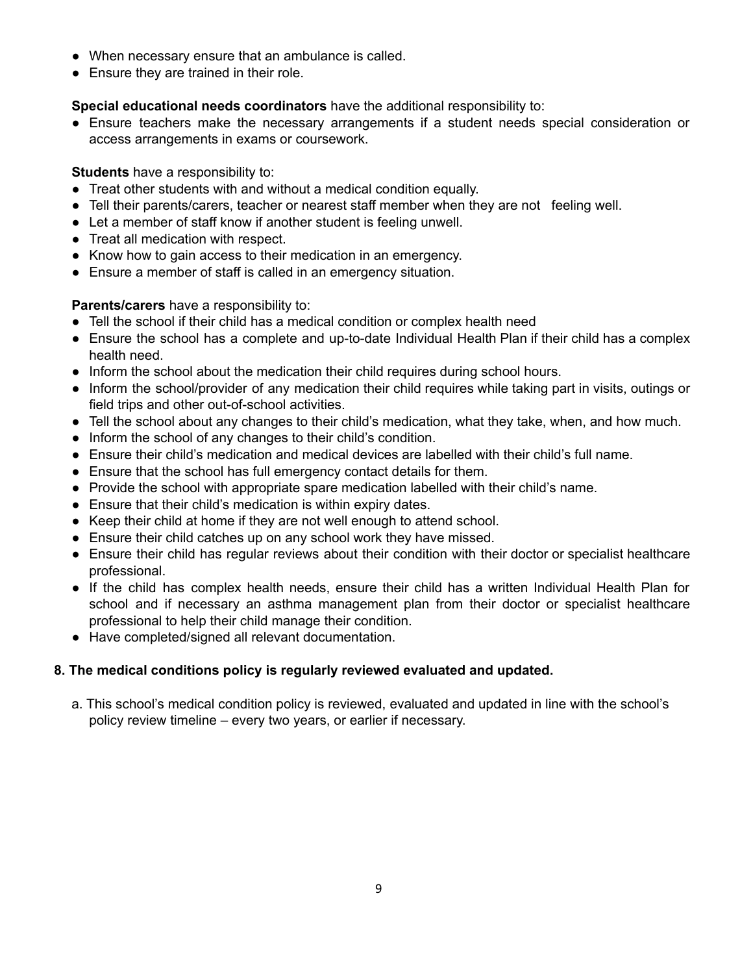- When necessary ensure that an ambulance is called.
- Ensure they are trained in their role.

**Special educational needs coordinators** have the additional responsibility to:

● Ensure teachers make the necessary arrangements if a student needs special consideration or access arrangements in exams or coursework.

#### **Students** have a responsibility to:

- Treat other students with and without a medical condition equally.
- Tell their parents/carers, teacher or nearest staff member when they are not feeling well.
- Let a member of staff know if another student is feeling unwell.
- Treat all medication with respect.
- Know how to gain access to their medication in an emergency.
- Ensure a member of staff is called in an emergency situation.

#### **Parents/carers** have a responsibility to:

- Tell the school if their child has a medical condition or complex health need
- Ensure the school has a complete and up-to-date Individual Health Plan if their child has a complex health need.
- Inform the school about the medication their child requires during school hours.
- Inform the school/provider of any medication their child requires while taking part in visits, outings or field trips and other out-of-school activities.
- Tell the school about any changes to their child's medication, what they take, when, and how much.
- Inform the school of any changes to their child's condition.
- Ensure their child's medication and medical devices are labelled with their child's full name.
- Ensure that the school has full emergency contact details for them.
- Provide the school with appropriate spare medication labelled with their child's name.
- Ensure that their child's medication is within expiry dates.
- Keep their child at home if they are not well enough to attend school.
- Ensure their child catches up on any school work they have missed.
- Ensure their child has regular reviews about their condition with their doctor or specialist healthcare professional.
- If the child has complex health needs, ensure their child has a written Individual Health Plan for school and if necessary an asthma management plan from their doctor or specialist healthcare professional to help their child manage their condition.
- Have completed/signed all relevant documentation.

# **8. The medical conditions policy is regularly reviewed evaluated and updated.**

a. This school's medical condition policy is reviewed, evaluated and updated in line with the school's policy review timeline – every two years, or earlier if necessary.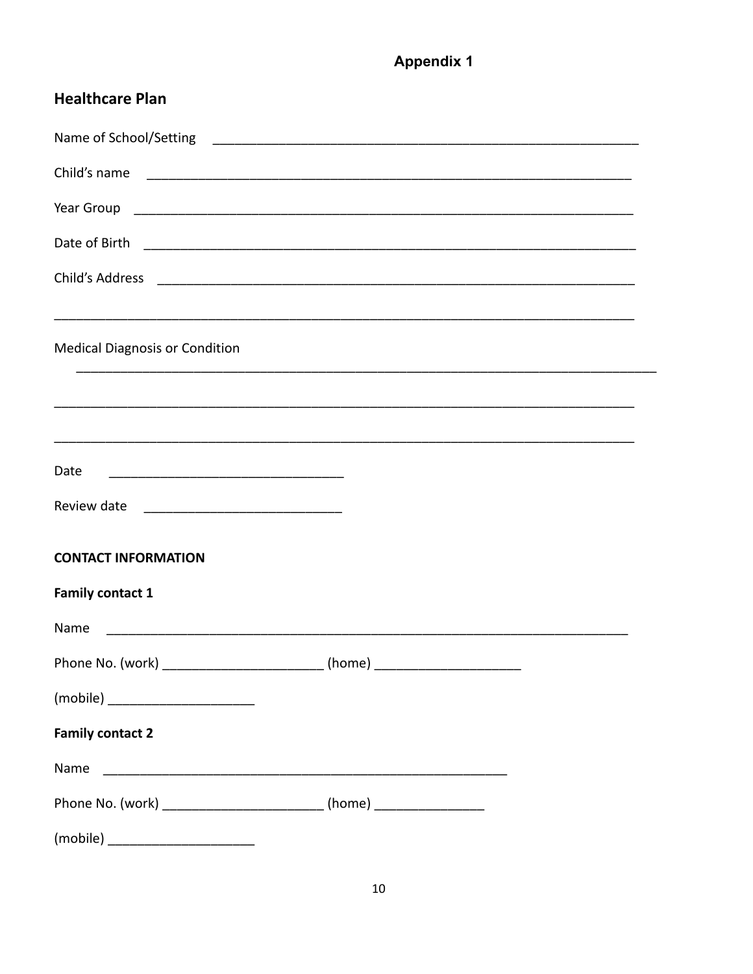# **Appendix 1**

| <b>Healthcare Plan</b>                                                           |  |
|----------------------------------------------------------------------------------|--|
|                                                                                  |  |
| Child's name                                                                     |  |
| Year Group                                                                       |  |
| Date of Birth                                                                    |  |
| Child's Address                                                                  |  |
| <b>Medical Diagnosis or Condition</b>                                            |  |
|                                                                                  |  |
|                                                                                  |  |
| Date                                                                             |  |
| Review date                                                                      |  |
| <b>CONTACT INFORMATION</b>                                                       |  |
| <b>Family contact 1</b>                                                          |  |
| Name                                                                             |  |
|                                                                                  |  |
|                                                                                  |  |
| <b>Family contact 2</b>                                                          |  |
| Name                                                                             |  |
| Phone No. (work) __________________________________ (home) _____________________ |  |
|                                                                                  |  |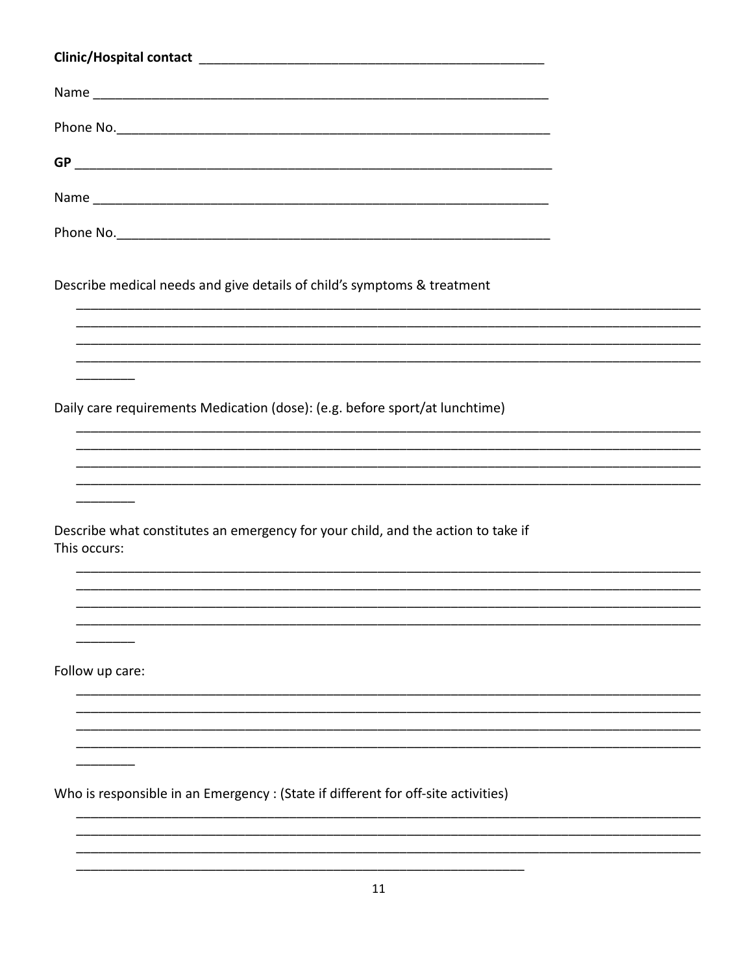| Describe medical needs and give details of child's symptoms & treatment                          |
|--------------------------------------------------------------------------------------------------|
|                                                                                                  |
|                                                                                                  |
| Daily care requirements Medication (dose): (e.g. before sport/at lunchtime)                      |
|                                                                                                  |
|                                                                                                  |
| Describe what constitutes an emergency for your child, and the action to take if<br>This occurs: |
|                                                                                                  |
|                                                                                                  |
| Follow up care:                                                                                  |
|                                                                                                  |
|                                                                                                  |

 $\begin{tabular}{ccccc} \multicolumn{2}{c|}{\textbf{\textcolor{blue}{\bf -}}\end{tabular}} \vspace{0.08in} \begin{tabular}{c} \multicolumn{2}{c|}{\textbf{\textcolor{blue}{\bf -}}\end{tabular}} \vspace{0.08in} \begin{tabular}{c} \multicolumn{2}{c|}{\textbf{\textcolor{blue}{\bf -}}\end{tabular}} \vspace{0.08in} \vspace{0.08in} \begin{tabular}{c} \multicolumn{2}{c|}{\textbf{\textcolor{blue}{\bf -}}\end{tabular}} \vspace{0.08in} \vspace{0.08in} \vspace{0.08in} \$ 

 $\overline{\phantom{a}}$ 

Who is responsible in an Emergency : (State if different for off-site activities)